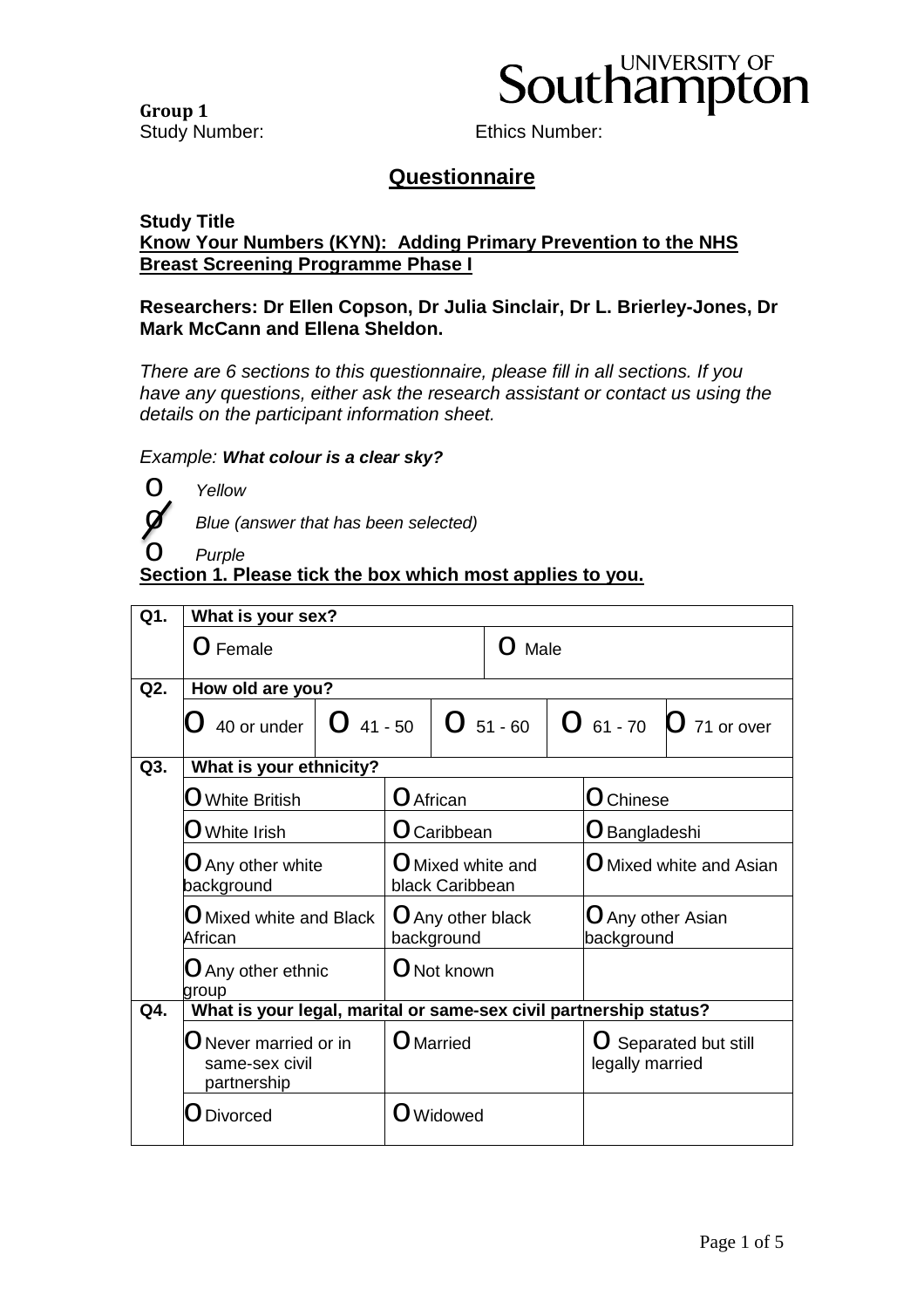**Group 1**



Study Number: Ethics Number:

#### **Questionnaire**

#### **Study Title Know Your Numbers (KYN): Adding Primary Prevention to the NHS Breast Screening Programme Phase I**

#### **Researchers: Dr Ellen Copson, Dr Julia Sinclair, Dr L. Brierley-Jones, Dr Mark McCann and Ellena Sheldon.**

*There are 6 sections to this questionnaire, please fill in all sections. If you have any questions, either ask the research assistant or contact us using the details on the participant information sheet.* 

#### *Example: What colour is a clear sky?*

o *Yellow*

o *Blue (answer that has been selected)* 

### o *Purple* **Section 1. Please tick the box which most applies to you.**

| Q1. | What is your sex?                                                 |                                      |           |             |                                                       |                                 |  |                            |
|-----|-------------------------------------------------------------------|--------------------------------------|-----------|-------------|-------------------------------------------------------|---------------------------------|--|----------------------------|
|     | O Female                                                          |                                      |           |             | Male<br>$\left( \begin{array}{c} \end{array} \right)$ |                                 |  |                            |
| Q2. | How old are you?                                                  |                                      |           |             |                                                       |                                 |  |                            |
|     | 40 or under                                                       | $O$ 41 - 50                          |           | $O$ 51 - 60 |                                                       |                                 |  | $O$ 61 - 70 $O$ 71 or over |
| Q3. | What is your ethnicity?                                           |                                      |           |             |                                                       |                                 |  |                            |
|     | $\bigcirc$ White British                                          |                                      | O African |             |                                                       | O Chinese                       |  |                            |
|     | $\operatorname{\mathsf{O}}$ White Irish                           | O Caribbean                          |           |             |                                                       | O Bangladeshi                   |  |                            |
|     | $\bigcirc$ Any other white<br>background                          | O Mixed white and<br>black Caribbean |           |             |                                                       | O Mixed white and Asian         |  |                            |
|     | $\bigcirc$ Mixed white and Black<br>African                       | O Any other black<br>background      |           |             |                                                       | O Any other Asian<br>background |  |                            |
|     | $\bigcirc$ Any other ethnic<br>group                              |                                      |           | O Not known |                                                       |                                 |  |                            |
| Q4. | What is your legal, marital or same-sex civil partnership status? |                                      |           |             |                                                       |                                 |  |                            |
|     | $\bigcirc$ Never married or in<br>same-sex civil<br>partnership   | O Married                            |           |             | O Separated but still<br>legally married              |                                 |  |                            |
|     | <b>Divorced</b>                                                   |                                      |           | O Widowed   |                                                       |                                 |  |                            |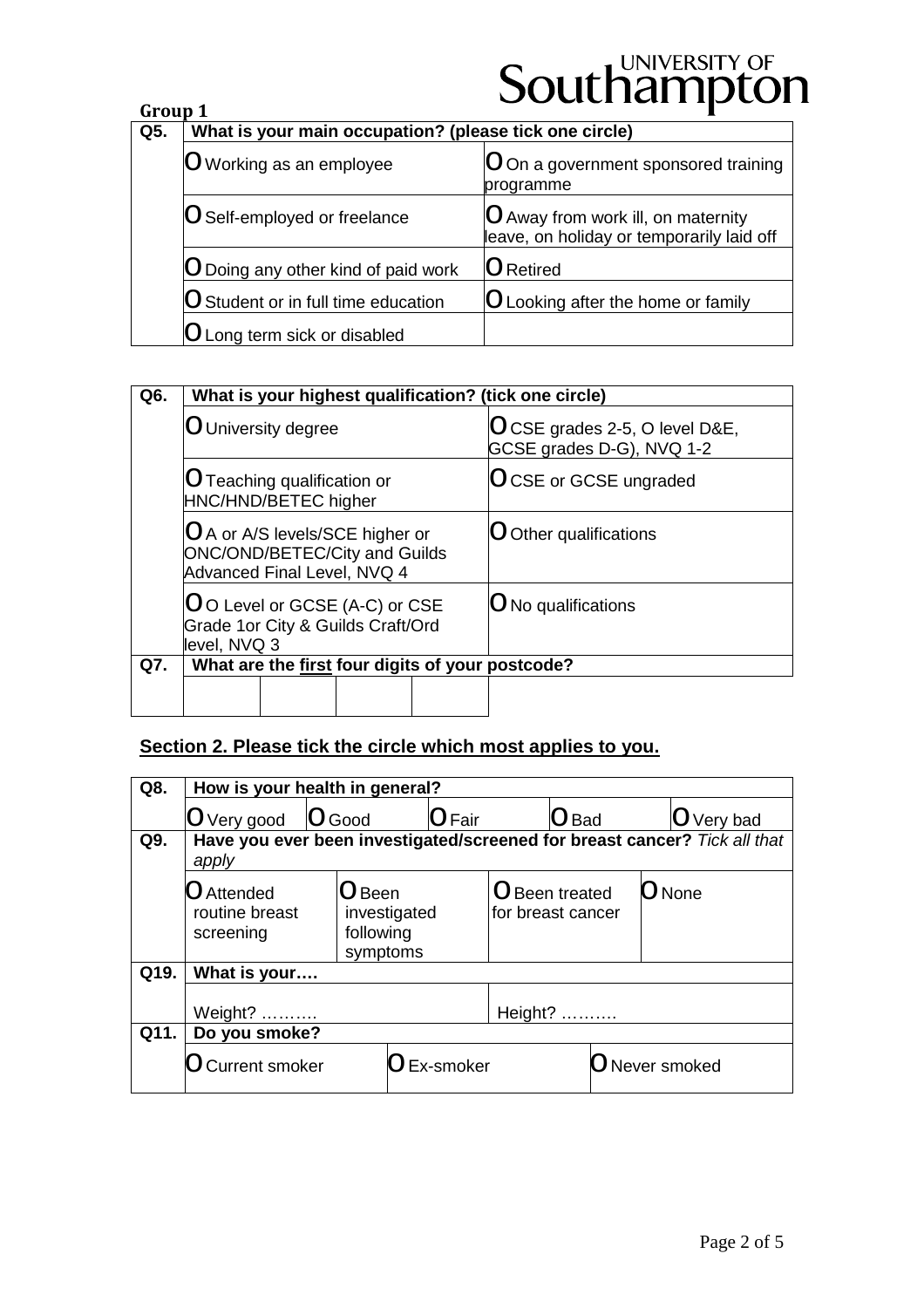| Group 1 |                                                        | $\sim$ $\sim$ $\sim$ $\sim$ $\sim$ $\sim$ $\sim$ $\sim$                         |  |  |  |  |
|---------|--------------------------------------------------------|---------------------------------------------------------------------------------|--|--|--|--|
| Q5.     | What is your main occupation? (please tick one circle) |                                                                                 |  |  |  |  |
|         | O Working as an employee                               | O On a government sponsored training<br>programme                               |  |  |  |  |
|         | O Self-employed or freelance                           | O Away from work ill, on maternity<br>leave, on holiday or temporarily laid off |  |  |  |  |
|         | O Doing any other kind of paid work                    | <b>O</b> Retired                                                                |  |  |  |  |
|         | O Student or in full time education                    | O Looking after the home or family                                              |  |  |  |  |
|         | O Long term sick or disabled                           |                                                                                 |  |  |  |  |
|         |                                                        |                                                                                 |  |  |  |  |

| Q6. | What is your highest qualification? (tick one circle)                                                  |                                                            |  |  |  |  |  |
|-----|--------------------------------------------------------------------------------------------------------|------------------------------------------------------------|--|--|--|--|--|
|     | O University degree                                                                                    | OCSE grades 2-5, O level D&E,<br>GCSE grades D-G), NVQ 1-2 |  |  |  |  |  |
|     | O Teaching qualification or<br>HNC/HND/BETEC higher                                                    | <b>OCSE or GCSE ungraded</b>                               |  |  |  |  |  |
|     | O A or A/S levels/SCE higher or<br><b>ONC/OND/BETEC/City and Guilds</b><br>Advanced Final Level, NVQ 4 | Other qualifications                                       |  |  |  |  |  |
|     | OO Level or GCSE (A-C) or CSE<br>Grade 1or City & Guilds Craft/Ord<br>level, NVQ 3                     | $\bigcirc$ No qualifications                               |  |  |  |  |  |
| Q7. | What are the first four digits of your postcode?                                                       |                                                            |  |  |  |  |  |
|     |                                                                                                        |                                                            |  |  |  |  |  |

#### **Section 2. Please tick the circle which most applies to you.**

| Q8.  | How is your health in general?                                                     |               |                                                   |                     |                                     |                |  |                         |
|------|------------------------------------------------------------------------------------|---------------|---------------------------------------------------|---------------------|-------------------------------------|----------------|--|-------------------------|
|      | O Very good                                                                        | <b>O</b> Good |                                                   | $\overline{O}$ Fair |                                     | $\bigcirc$ Bad |  | O Very bad              |
| Q9.  | Have you ever been investigated/screened for breast cancer? Tick all that<br>apply |               |                                                   |                     |                                     |                |  |                         |
|      | O Attended<br>routine breast<br>screening                                          |               | $O$ Been<br>investigated<br>following<br>symptoms |                     | O Been treated<br>for breast cancer |                |  | $\bigcirc$ None         |
| Q19. | What is your                                                                       |               |                                                   |                     |                                     |                |  |                         |
|      | Weight?                                                                            |               |                                                   |                     | Height?                             |                |  |                         |
| Q11. | Do you smoke?                                                                      |               |                                                   |                     |                                     |                |  |                         |
|      | <b>Current smoker</b>                                                              |               |                                                   | <b>O</b> Ex-smoker  |                                     |                |  | $\bigcirc$ Never smoked |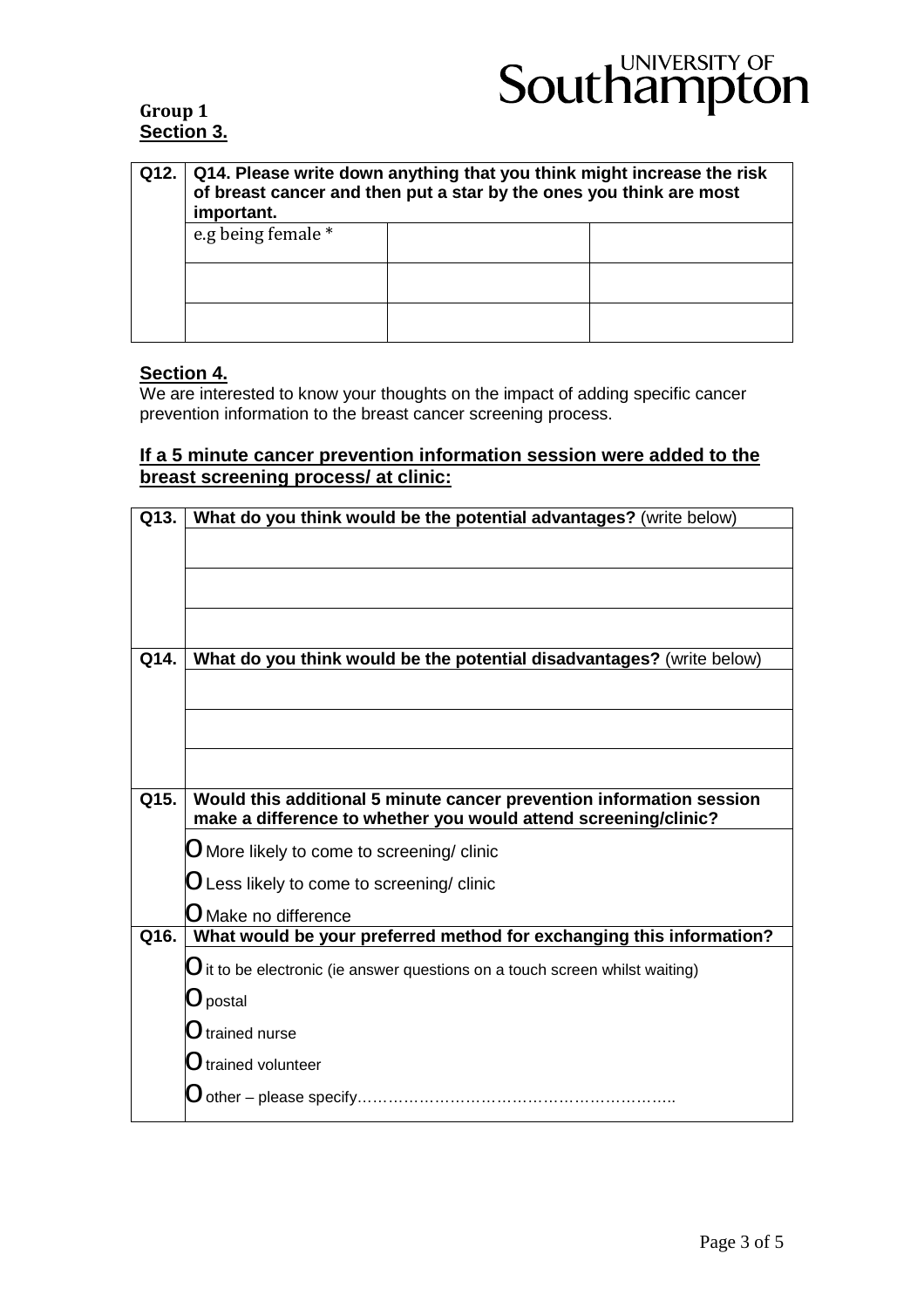#### **Group 1 Section 3.**

| Q12. | Q14. Please write down anything that you think might increase the risk<br>of breast cancer and then put a star by the ones you think are most<br>important. |  |  |  |  |  |
|------|-------------------------------------------------------------------------------------------------------------------------------------------------------------|--|--|--|--|--|
|      | e.g being female *                                                                                                                                          |  |  |  |  |  |
|      |                                                                                                                                                             |  |  |  |  |  |
|      |                                                                                                                                                             |  |  |  |  |  |

#### **Section 4.**

We are interested to know your thoughts on the impact of adding specific cancer prevention information to the breast cancer screening process.

#### **If a 5 minute cancer prevention information session were added to the breast screening process/ at clinic:**

| Q13. | What do you think would be the potential advantages? (write below)             |
|------|--------------------------------------------------------------------------------|
|      |                                                                                |
|      |                                                                                |
|      |                                                                                |
|      |                                                                                |
| Q14. | What do you think would be the potential disadvantages? (write below)          |
|      |                                                                                |
|      |                                                                                |
|      |                                                                                |
|      |                                                                                |
|      |                                                                                |
| Q15. | Would this additional 5 minute cancer prevention information session           |
|      | make a difference to whether you would attend screening/clinic?                |
|      | $O$ More likely to come to screening/ clinic                                   |
|      | $O$ Less likely to come to screening/ clinic                                   |
|      | $\bigcirc$ Make no difference                                                  |
| Q16. | What would be your preferred method for exchanging this information?           |
|      | $O$ it to be electronic (ie answer questions on a touch screen whilst waiting) |
|      | $\bigcirc$ postal                                                              |
|      | $\bigcirc$ trained nurse                                                       |
|      | $\bigcup$ trained volunteer                                                    |
|      | $\bigcirc$ other – please specify…………………………………………………                           |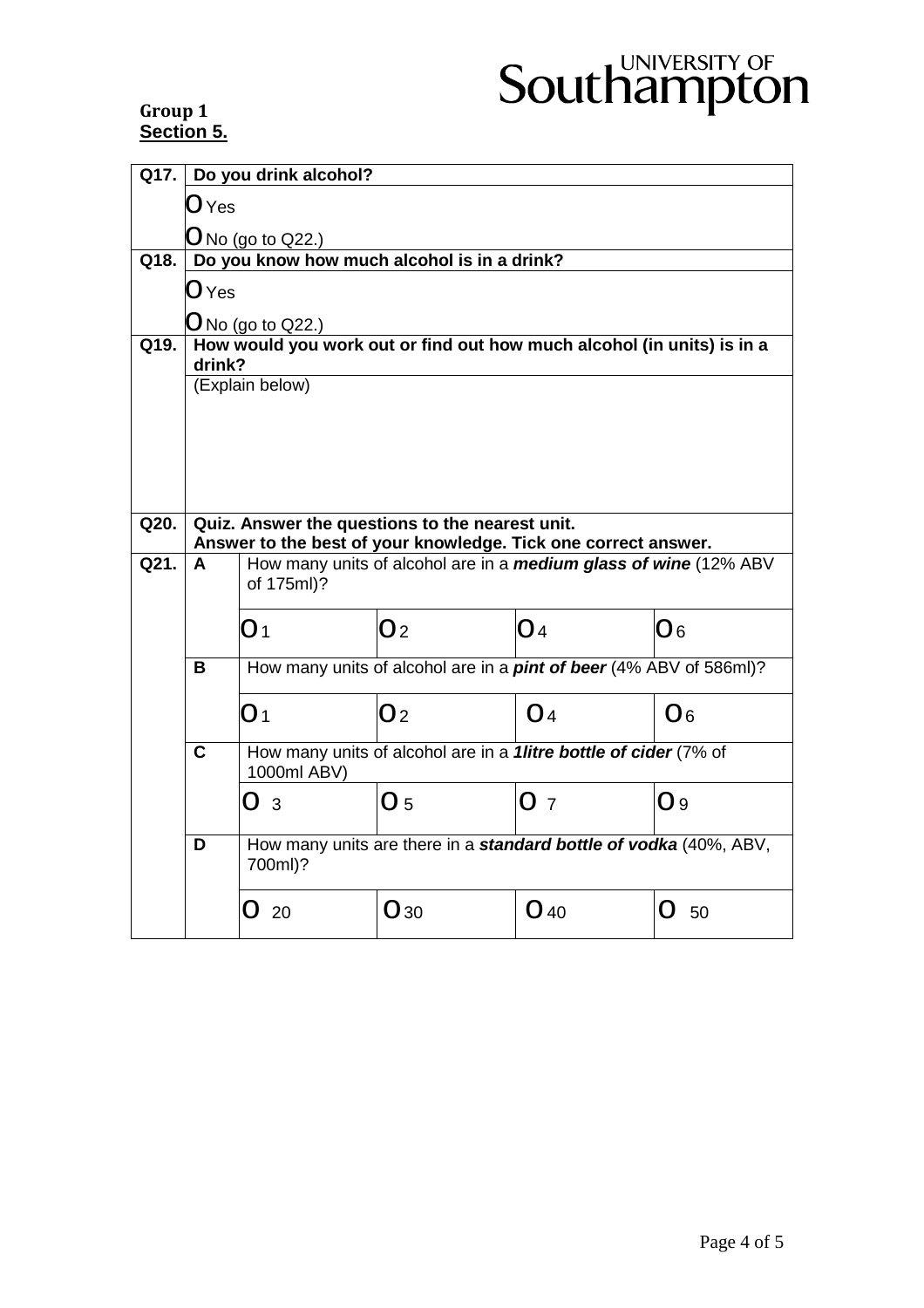#### **Group 1 Section 5.**

|      | Q17. Do you drink alcohol?                                                                    |                                                                                       |                |                |                 |  |  |  |
|------|-----------------------------------------------------------------------------------------------|---------------------------------------------------------------------------------------|----------------|----------------|-----------------|--|--|--|
|      | $\bigcirc$ Yes                                                                                |                                                                                       |                |                |                 |  |  |  |
|      | $O$ No (go to Q22.)                                                                           |                                                                                       |                |                |                 |  |  |  |
| Q18. | Do you know how much alcohol is in a drink?                                                   |                                                                                       |                |                |                 |  |  |  |
|      | O Yes                                                                                         |                                                                                       |                |                |                 |  |  |  |
|      |                                                                                               |                                                                                       |                |                |                 |  |  |  |
| Q19. | $O$ No (go to Q22.)<br>How would you work out or find out how much alcohol (in units) is in a |                                                                                       |                |                |                 |  |  |  |
|      | drink?                                                                                        |                                                                                       |                |                |                 |  |  |  |
|      |                                                                                               | (Explain below)                                                                       |                |                |                 |  |  |  |
|      |                                                                                               |                                                                                       |                |                |                 |  |  |  |
|      |                                                                                               |                                                                                       |                |                |                 |  |  |  |
|      |                                                                                               |                                                                                       |                |                |                 |  |  |  |
| Q20. | Quiz. Answer the questions to the nearest unit.                                               |                                                                                       |                |                |                 |  |  |  |
|      |                                                                                               | Answer to the best of your knowledge. Tick one correct answer.                        |                |                |                 |  |  |  |
| Q21. | A                                                                                             | How many units of alcohol are in a <i>medium glass of wine</i> (12% ABV<br>of 175ml)? |                |                |                 |  |  |  |
|      |                                                                                               | O <sub>1</sub>                                                                        | O <sub>2</sub> | O4             | $\overline{O6}$ |  |  |  |
|      | В                                                                                             | How many units of alcohol are in a <i>pint of beer</i> (4% ABV of 586ml)?             |                |                |                 |  |  |  |
|      |                                                                                               | O <sub>1</sub>                                                                        | O <sub>2</sub> | O <sub>4</sub> | O6              |  |  |  |
|      | $\mathbf c$                                                                                   | How many units of alcohol are in a <i>1litre bottle of cider</i> (7% of               |                |                |                 |  |  |  |
|      |                                                                                               | О3                                                                                    | O <sub>5</sub> | O <sub>7</sub> | O <sub>9</sub>  |  |  |  |
|      | D                                                                                             | How many units are there in a standard bottle of vodka (40%, ABV,<br>700ml)?          |                |                |                 |  |  |  |
|      |                                                                                               | - 20                                                                                  | O30            | $O$ 40         | ( )<br>50       |  |  |  |